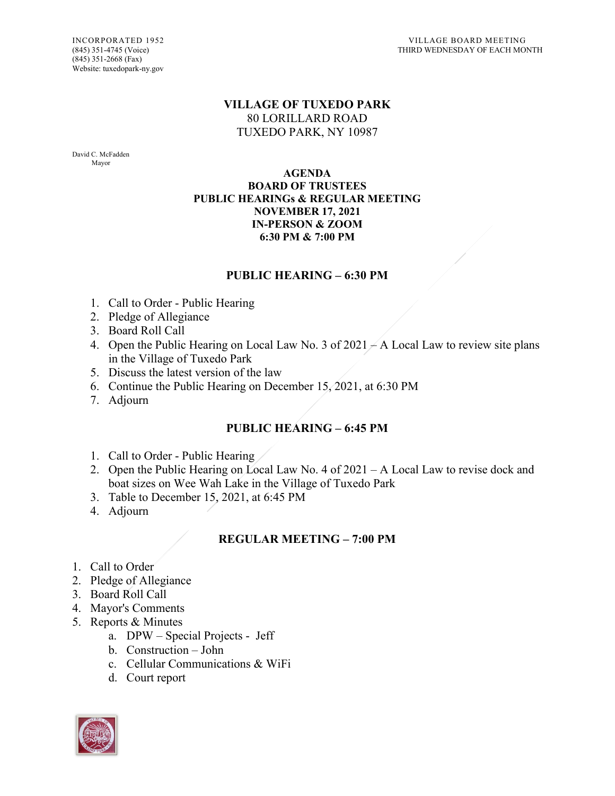(845) 351-2668 (Fax) Website: tuxedopark-ny.gov

## **VILLAGE OF TUXEDO PARK** 80 LORILLARD ROAD TUXEDO PARK, NY 10987

David C. McFadden Mayor

#### **AGENDA BOARD OF TRUSTEES PUBLIC HEARINGs & REGULAR MEETING NOVEMBER 17, 2021 IN-PERSON & ZOOM 6:30 PM & 7:00 PM**

## **PUBLIC HEARING – 6:30 PM**

- 1. Call to Order Public Hearing
- 2. Pledge of Allegiance
- 3. Board Roll Call
- 4. Open the Public Hearing on Local Law No. 3 of  $2021 A$  Local Law to review site plans in the Village of Tuxedo Park
- 5. Discuss the latest version of the law
- 6. Continue the Public Hearing on December 15,  $2021$ , at 6:30 PM
- 7. Adjourn

# **PUBLIC HEARING – 6:45 PM**

- 1. Call to Order Public Hearing
- 2. Open the Public Hearing on Local Law No. 4 of 2021 A Local Law to revise dock and boat sizes on Wee Wah Lake in the Village of Tuxedo Park
- 3. Table to December 15, 2021, at 6:45 PM
- 4. Adjourn

# **REGULAR MEETING – 7:00 PM**

- 1. Call to Order
- 2. Pledge of Allegiance
- 3. Board Roll Call
- 4. Mayor's Comments
- 5. Reports & Minutes
	- a. DPW Special Projects Jeff
	- b. Construction John
	- c. Cellular Communications & WiFi
	- d. Court report

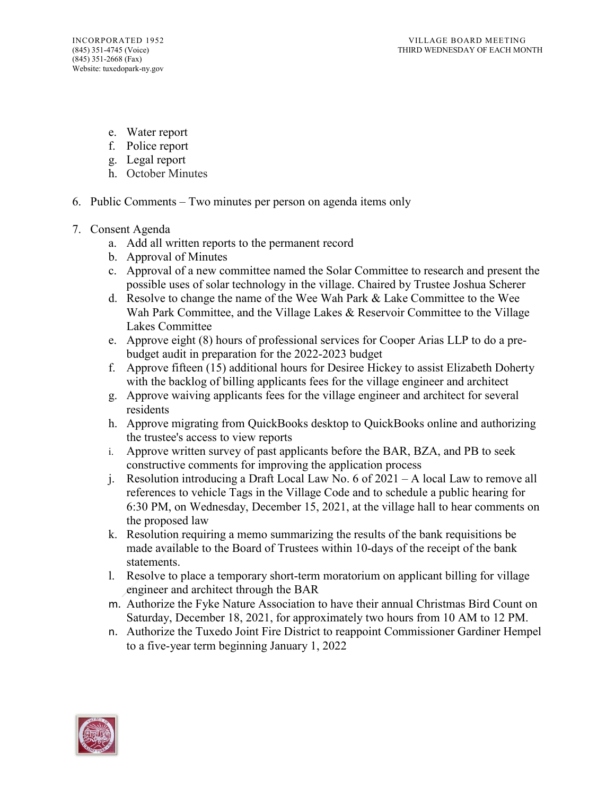- e. Water report
- f. Police report
- g. Legal report
- h. October Minutes
- 6. Public Comments Two minutes per person on agenda items only
- 7. Consent Agenda
	- a. Add all written reports to the permanent record
	- b. Approval of Minutes
	- c. Approval of a new committee named the Solar Committee to research and present the possible uses of solar technology in the village. Chaired by Trustee Joshua Scherer
	- d. Resolve to change the name of the Wee Wah Park & Lake Committee to the Wee Wah Park Committee, and the Village Lakes & Reservoir Committee to the Village Lakes Committee
	- e. Approve eight (8) hours of professional services for Cooper Arias LLP to do a prebudget audit in preparation for the 2022-2023 budget
	- f. Approve fifteen (15) additional hours for Desiree Hickey to assist Elizabeth Doherty with the backlog of billing applicants fees for the village engineer and architect
	- g. Approve waiving applicants fees for the village engineer and architect for several residents
	- h. Approve migrating from QuickBooks desktop to QuickBooks online and authorizing the trustee's access to view reports
	- i. Approve written survey of past applicants before the BAR, BZA, and PB to seek constructive comments for improving the application process
	- j. Resolution introducing a Draft Local Law No. 6 of 2021 A local Law to remove all references to vehicle Tags in the Village Code and to schedule a public hearing for 6:30 PM, on Wednesday, December 15, 2021, at the village hall to hear comments on the proposed law
	- k. Resolution requiring a memo summarizing the results of the bank requisitions be made available to the Board of Trustees within 10-days of the receipt of the bank statements.
	- l. Resolve to place a temporary short-term moratorium on applicant billing for village engineer and architect through the BAR
	- m. Authorize the Fyke Nature Association to have their annual Christmas Bird Count on Saturday, December 18, 2021, for approximately two hours from 10 AM to 12 PM.
	- n. Authorize the Tuxedo Joint Fire District to reappoint Commissioner Gardiner Hempel to a five-year term beginning January 1, 2022